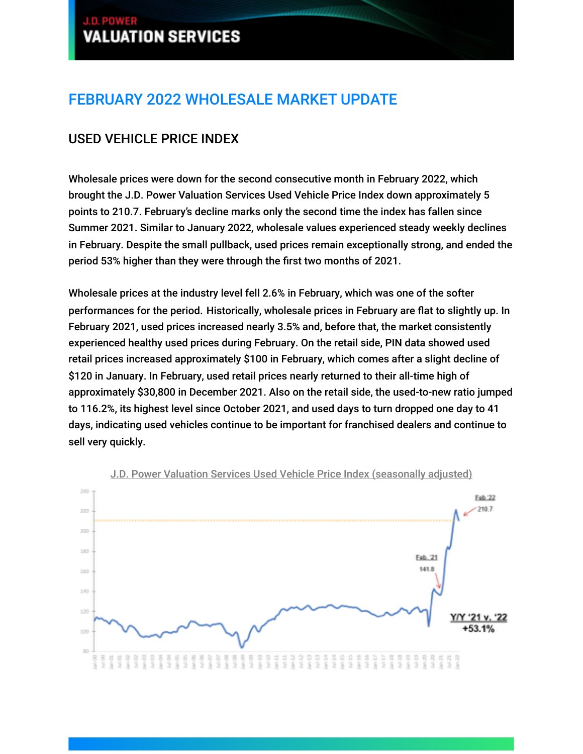## J.D. POWER **VALUATION SERVICES**

# FEBRUARY 2022 WHOLESALE MARKET UPDATE

## USED VEHICLE PRICE INDEX

Wholesale prices were down for the second consecutive month in February 2022, which brought the J.D. Power Valuation Services Used Vehicle Price Index down approximately 5 points to 210.7. February's decline marks only the second time the index has fallen since Summer 2021. Similar to January 2022, wholesale values experienced steady weekly declines in February. Despite the small pullback, used prices remain exceptionally strong, and ended the period 53% higher than they were through the first two months of 2021.

MARCH 2022

GUIDELINES

Wholesale prices at the industry level fell 2.6% in February, which was one of the softer performances for the period. Historically, wholesale prices in February are flat to slightly up. In February 2021, used prices increased nearly 3.5% and, before that, the market consistently experienced healthy used prices during February. On the retail side, PIN data showed used retail prices increased approximately \$100 in February, which comes after a slight decline of \$120 in January. In February, used retail prices nearly returned to their all-time high of approximately \$30,800 in December 2021. Also on the retail side, the used-to-new ratio jumped to 116.2%, its highest level since October 2021, and used days to turn dropped one day to 41 days, indicating used vehicles continue to be important for franchised dealers and continue to sell very quickly.



J.D. Power Valuation Services Used Vehicle Price Index (seasonally adjusted)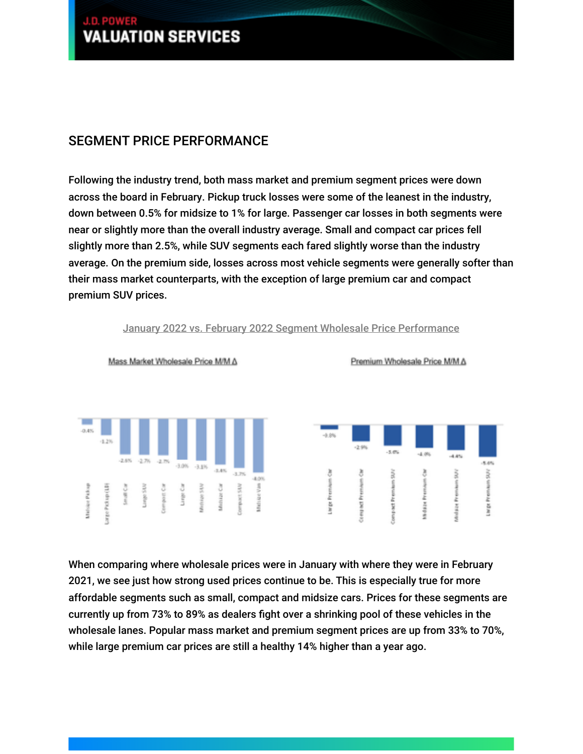## J.D. POWER **VALUATION SERVICES**

### SEGMENT PRICE PERFORMANCE

Following the industry trend, both mass market and premium segment prices were down across the board in February. Pickup truck losses were some of the leanest in the industry, down between 0.5% for midsize to 1% for large. Passenger car losses in both segments were near or slightly more than the overall industry average. Small and compact car prices fell slightly more than 2.5%, while SUV segments each fared slightly worse than the industry average. On the premium side, losses across most vehicle segments were generally softer than their mass market counterparts, with the exception of large premium car and compact premium SUV prices.

MARCH 2022

GUIDELINES



January 2022 vs. February 2022 Segment Wholesale Price Performance

When comparing where wholesale prices were in January with where they were in February 2021, we see just how strong used prices continue to be. This is especially true for more affordable segments such as small, compact and midsize cars. Prices for these segments are currently up from 73% to 89% as dealers fight over a shrinking pool of these vehicles in the wholesale lanes. Popular mass market and premium segment prices are up from 33% to 70%, while large premium car prices are still a healthy 14% higher than a year ago.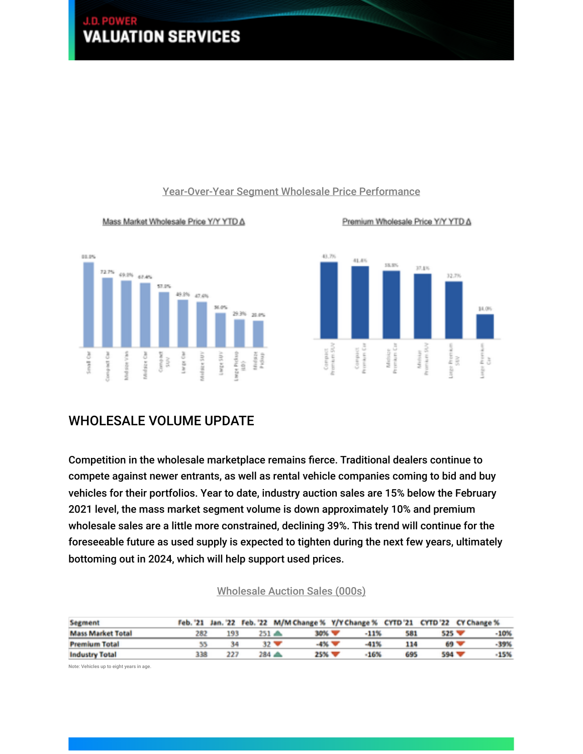#### J.D. PO **VALUATION SERVICES** GUIDELINES MARCH 2022



#### Mass Market Wholesale Price Y/Y YTD A





Premium Wholesale Price Y/Y YTD A

#### WHOLESALE VOLUME UPDATE

Competition in the wholesale marketplace remains fierce. Traditional dealers continue to compete against newer entrants, as well as rental vehicle companies coming to bid and buy vehicles for their portfolios. Year to date, industry auction sales are 15% below the February 2021 level, the mass market segment volume is down approximately 10% and premium wholesale sales are a little more constrained, declining 39%. This trend will continue for the foreseeable future as used supply is expected to tighten during the next few years, ultimately bottoming out in 2024, which will help support used prices.

| <b>Segment</b>           |     |     |         |                         |       |      |     |         | Feb. '21 Jan. '22 Feb. '22 M/M Change % Y/Y Change % CYTD '21 CYTD '22 CY Change % |
|--------------------------|-----|-----|---------|-------------------------|-------|------|-----|---------|------------------------------------------------------------------------------------|
| <b>Mass Market Total</b> | 282 | 193 | $251 -$ |                         | 30% V | -11% | 581 | $525 -$ | -10%                                                                               |
| <b>Premium Total</b>     |     | 34  |         | $32 \blacktriangledown$ | -4% V | -41% | 114 | $69 -$  | $-39%$                                                                             |
| <b>Industry Total</b>    | 338 | 227 | ≜ 284   |                         | 25% W | 16%  | 695 | 594 W   | 15%                                                                                |

#### Wholesale Auction Sales (000s)

Note: Vehicles up to eight years in age.